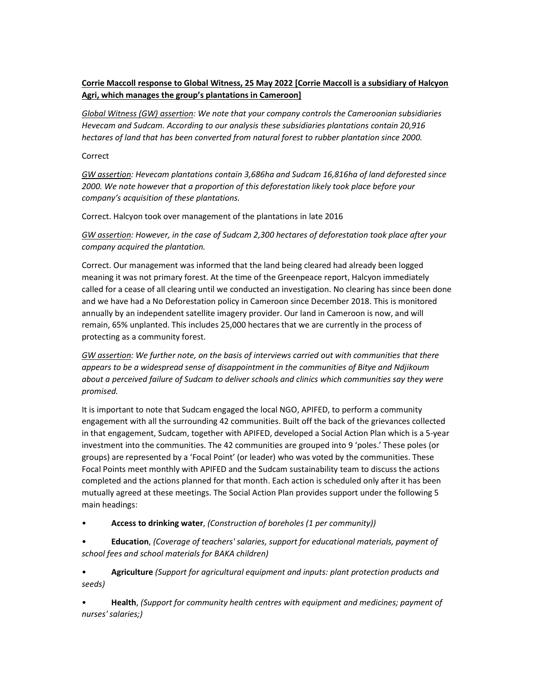## Corrie Maccoll response to Global Witness, 25 May 2022 [Corrie Maccoll is a subsidiary of Halcyon Agri, which manages the group's plantations in Cameroon]

Global Witness (GW) assertion: We note that your company controls the Cameroonian subsidiaries Hevecam and Sudcam. According to our analysis these subsidiaries plantations contain 20,916 hectares of land that has been converted from natural forest to rubber plantation since 2000.

## Correct

GW assertion: Hevecam plantations contain 3,686ha and Sudcam 16,816ha of land deforested since 2000. We note however that a proportion of this deforestation likely took place before your company's acquisition of these plantations.

Correct. Halcyon took over management of the plantations in late 2016

GW assertion: However, in the case of Sudcam 2,300 hectares of deforestation took place after your company acquired the plantation.

Correct. Our management was informed that the land being cleared had already been logged meaning it was not primary forest. At the time of the Greenpeace report, Halcyon immediately called for a cease of all clearing until we conducted an investigation. No clearing has since been done and we have had a No Deforestation policy in Cameroon since December 2018. This is monitored annually by an independent satellite imagery provider. Our land in Cameroon is now, and will remain, 65% unplanted. This includes 25,000 hectares that we are currently in the process of protecting as a community forest.

GW assertion: We further note, on the basis of interviews carried out with communities that there appears to be a widespread sense of disappointment in the communities of Bitye and Ndjikoum about a perceived failure of Sudcam to deliver schools and clinics which communities say they were promised.

It is important to note that Sudcam engaged the local NGO, APIFED, to perform a community engagement with all the surrounding 42 communities. Built off the back of the grievances collected in that engagement, Sudcam, together with APIFED, developed a Social Action Plan which is a 5-year investment into the communities. The 42 communities are grouped into 9 'poles.' These poles (or groups) are represented by a 'Focal Point' (or leader) who was voted by the communities. These Focal Points meet monthly with APIFED and the Sudcam sustainability team to discuss the actions completed and the actions planned for that month. Each action is scheduled only after it has been mutually agreed at these meetings. The Social Action Plan provides support under the following 5 main headings:

Access to drinking water, (Construction of boreholes (1 per community))

• Education, (Coverage of teachers' salaries, support for educational materials, payment of school fees and school materials for BAKA children)

• Agriculture (Support for agricultural equipment and inputs: plant protection products and seeds)

• Health, (Support for community health centres with equipment and medicines; payment of nurses' salaries;)